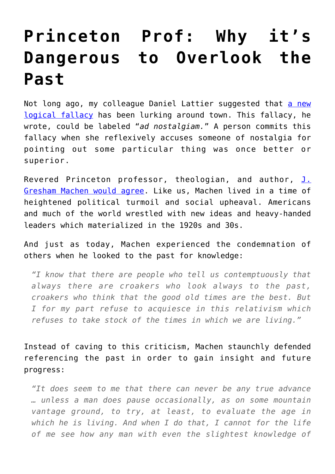## **[Princeton Prof: Why it's](https://intellectualtakeout.org/2016/10/princeton-prof-why-its-dangerous-to-overlook-the-past/) [Dangerous to Overlook the](https://intellectualtakeout.org/2016/10/princeton-prof-why-its-dangerous-to-overlook-the-past/) [Past](https://intellectualtakeout.org/2016/10/princeton-prof-why-its-dangerous-to-overlook-the-past/)**

Not long ago, my colleague Daniel Lattier suggested that [a new](https://www.intellectualtakeout.org/blog/new-logical-fallacy-popping) [logical fallacy](https://www.intellectualtakeout.org/blog/new-logical-fallacy-popping) has been lurking around town. This fallacy, he wrote, could be labeled "*ad nostalgiam.*" A person commits this fallacy when she reflexively accuses someone of nostalgia for pointing out some particular thing was once better or superior.

Revered Princeton professor, theologian, and author, [J.](https://opc.org/machen/mountains.html) [Gresham Machen would agree](https://opc.org/machen/mountains.html). Like us, Machen lived in a time of heightened political turmoil and social upheaval. Americans and much of the world wrestled with new ideas and heavy-handed leaders which materialized in the 1920s and 30s.

And just as today, Machen experienced the condemnation of others when he looked to the past for knowledge:

*"I know that there are people who tell us contemptuously that always there are croakers who look always to the past, croakers who think that the good old times are the best. But I for my part refuse to acquiesce in this relativism which refuses to take stock of the times in which we are living."*

Instead of caving to this criticism, Machen staunchly defended referencing the past in order to gain insight and future progress:

*"It does seem to me that there can never be any true advance … unless a man does pause occasionally, as on some mountain vantage ground, to try, at least, to evaluate the age in which he is living. And when I do that, I cannot for the life of me see how any man with even the slightest knowledge of*